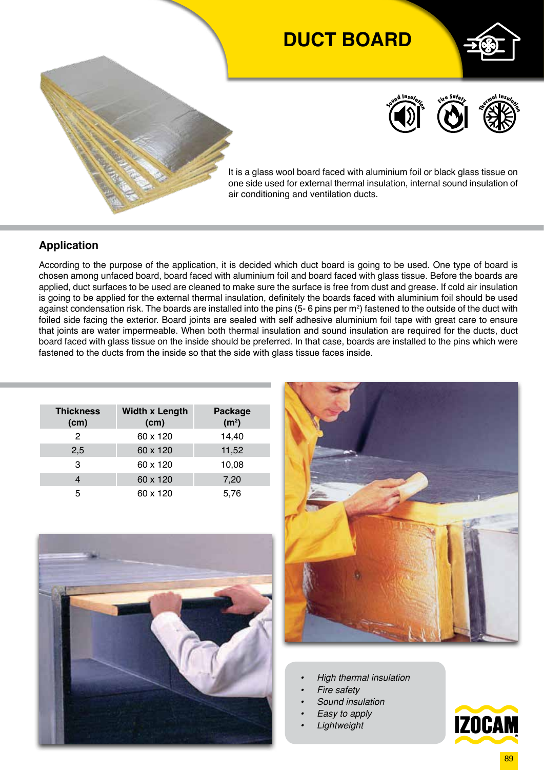# **DUCT BOARD**





It is a glass wool board faced with aluminium foil or black glass tissue on one side used for external thermal insulation, internal sound insulation of air conditioning and ventilation ducts.

### **Application**

According to the purpose of the application, it is decided which duct board is going to be used. One type of board is chosen among unfaced board, board faced with aluminium foil and board faced with glass tissue. Before the boards are applied, duct surfaces to be used are cleaned to make sure the surface is free from dust and grease. If cold air insulation is going to be applied for the external thermal insulation, definitely the boards faced with aluminium foil should be used against condensation risk. The boards are installed into the pins (5- 6 pins per m $^2$ ) fastened to the outside of the duct with foiled side facing the exterior. Board joints are sealed with self adhesive aluminium foil tape with great care to ensure that joints are water impermeable. When both thermal insulation and sound insulation are required for the ducts, duct board faced with glass tissue on the inside should be preferred. In that case, boards are installed to the pins which were fastened to the ducts from the inside so that the side with glass tissue faces inside.

| <b>Thickness</b><br>(cm) | <b>Width x Length</b><br>(cm) | <b>Package</b><br>(m <sup>2</sup> ) |  |  |
|--------------------------|-------------------------------|-------------------------------------|--|--|
| 2                        | 60 x 120                      | 14,40                               |  |  |
| 2,5                      | 60 x 120                      | 11,52                               |  |  |
| 3                        | 60 x 120                      | 10,08                               |  |  |
|                          | 60 x 120                      | 7,20                                |  |  |
| 5                        | 60 x 120                      | 5,76                                |  |  |





- *• High thermal insulation*
- *• Fire safety*
- *• Sound insulation*
- *• Easy to apply*
- *• Lightweight*